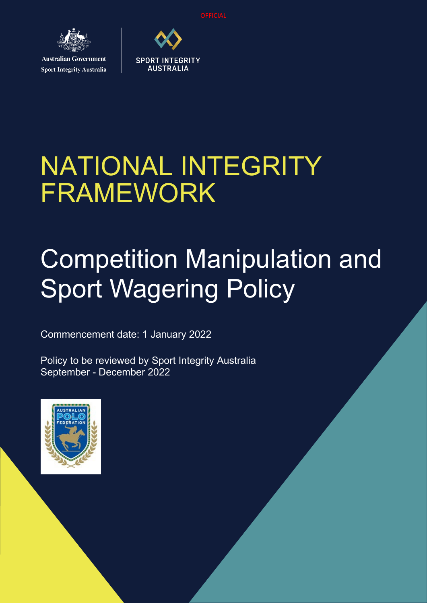**OFFICIAL** 



**Sport Integrity Australia** 



**SPORT INTEGRITY AUSTRALIA** 

# Competition Manipulation and Sport Wagering Policy

Commencement date: 1 January 2022

Policy to be reviewed by Sport Integrity Australia September - December 2022

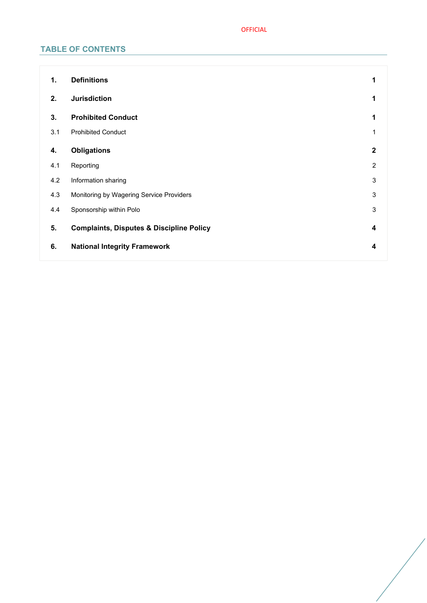## OFFICIAL

## **TABLE OF CONTENTS**

| 1.  | <b>Definitions</b>                                  | 1            |
|-----|-----------------------------------------------------|--------------|
| 2.  | <b>Jurisdiction</b>                                 | 1            |
| 3.  | <b>Prohibited Conduct</b>                           | 1            |
| 3.1 | <b>Prohibited Conduct</b>                           |              |
| 4.  | <b>Obligations</b>                                  | $\mathbf{2}$ |
| 4.1 | Reporting                                           | 2            |
| 4.2 | Information sharing                                 | 3            |
| 4.3 | Monitoring by Wagering Service Providers            | $\sqrt{3}$   |
| 4.4 | Sponsorship within Polo                             | $\sqrt{3}$   |
| 5.  | <b>Complaints, Disputes &amp; Discipline Policy</b> | 4            |
| 6.  | <b>National Integrity Framework</b>                 | 4            |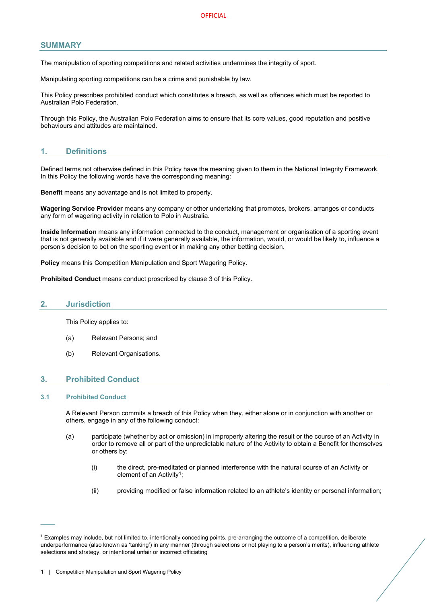## **SUMMARY**

The manipulation of sporting competitions and related activities undermines the integrity of sport.

Manipulating sporting competitions can be a crime and punishable by law.

This Policy prescribes prohibited conduct which constitutes a breach, as well as offences which must be reported to Australian Polo Federation.

Through this Policy, the Australian Polo Federation aims to ensure that its core values, good reputation and positive behaviours and attitudes are maintained.

## <span id="page-2-0"></span>**1. Definitions**

Defined terms not otherwise defined in this Policy have the meaning given to them in the National Integrity Framework. In this Policy the following words have the corresponding meaning:

**Benefit** means any advantage and is not limited to property.

**Wagering Service Provider** means any company or other undertaking that promotes, brokers, arranges or conducts any form of wagering activity in relation to Polo in Australia.

**Inside Information** means any information connected to the conduct, management or organisation of a sporting event that is not generally available and if it were generally available, the information, would, or would be likely to, influence a person's decision to bet on the sporting event or in making any other betting decision.

**Policy** means this Competition Manipulation and Sport Wagering Policy.

**Prohibited Conduct** means conduct proscribed by clause [3](#page-2-2) of this Policy.

#### <span id="page-2-1"></span>**2. Jurisdiction**

This Policy applies to:

- (a) Relevant Persons; and
- (b) Relevant Organisations.

## <span id="page-2-2"></span>**3. Prohibited Conduct**

#### <span id="page-2-3"></span>**3.1 Prohibited Conduct**

 $\mathcal{L}^{\mathcal{L}}$ 

A Relevant Person commits a breach of this Policy when they, either alone or in conjunction with another or others, engage in any of the following conduct:

- (a) participate (whether by act or omission) in improperly altering the result or the course of an Activity in order to remove all or part of the unpredictable nature of the Activity to obtain a Benefit for themselves or others by:
	- (i) the direct, pre-meditated or planned interference with the natural course of an Activity or element of an Activity<sup>1</sup>:
	- (ii) providing modified or false information related to an athlete's identity or personal information;

<span id="page-2-4"></span><sup>&</sup>lt;sup>1</sup> Examples may include, but not limited to, intentionally conceding points, pre-arranging the outcome of a competition, deliberate underperformance (also known as 'tanking') in any manner (through selections or not playing to a person's merits), influencing athlete selections and strategy, or intentional unfair or incorrect officiating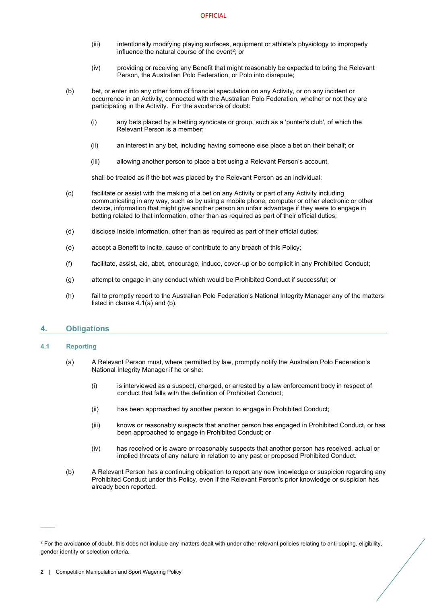- (iii) intentionally modifying playing surfaces, equipment or athlete's physiology to improperly influence the natural course of the event<sup>2</sup>; or
- (iv) providing or receiving any Benefit that might reasonably be expected to bring the Relevant Person, the Australian Polo Federation, or Polo into disrepute;
- (b) bet, or enter into any other form of financial speculation on any Activity, or on any incident or occurrence in an Activity, connected with the Australian Polo Federation, whether or not they are participating in the Activity. For the avoidance of doubt:
	- (i) any bets placed by a betting syndicate or group, such as a 'punter's club', of which the Relevant Person is a member;
	- (ii) an interest in any bet, including having someone else place a bet on their behalf; or
	- (iii) allowing another person to place a bet using a Relevant Person's account,

shall be treated as if the bet was placed by the Relevant Person as an individual;

- (c) facilitate or assist with the making of a bet on any Activity or part of any Activity including communicating in any way, such as by using a mobile phone, computer or other electronic or other device, information that might give another person an unfair advantage if they were to engage in betting related to that information, other than as required as part of their official duties;
- (d) disclose Inside Information, other than as required as part of their official duties;
- (e) accept a Benefit to incite, cause or contribute to any breach of this Policy;
- (f) facilitate, assist, aid, abet, encourage, induce, cover-up or be complicit in any Prohibited Conduct;
- (g) attempt to engage in any conduct which would be Prohibited Conduct if successful; or
- (h) fail to promptly report to the Australian Polo Federation's National Integrity Manager any of the matters listed in claus[e 4.1](#page-3-1)[\(a\)](#page-3-2) and [\(b\).](#page-3-3)

## <span id="page-3-0"></span>**4. Obligations**

#### <span id="page-3-2"></span><span id="page-3-1"></span>**4.1 Reporting**

 $\overline{\phantom{a}}$ 

- (a) A Relevant Person must, where permitted by law, promptly notify the Australian Polo Federation's National Integrity Manager if he or she:
	- (i) is interviewed as a suspect, charged, or arrested by a law enforcement body in respect of conduct that falls with the definition of Prohibited Conduct;
	- (ii) has been approached by another person to engage in Prohibited Conduct;
	- (iii) knows or reasonably suspects that another person has engaged in Prohibited Conduct, or has been approached to engage in Prohibited Conduct; or
	- (iv) has received or is aware or reasonably suspects that another person has received, actual or implied threats of any nature in relation to any past or proposed Prohibited Conduct.
- <span id="page-3-3"></span>(b) A Relevant Person has a continuing obligation to report any new knowledge or suspicion regarding any Prohibited Conduct under this Policy, even if the Relevant Person's prior knowledge or suspicion has already been reported.

<span id="page-3-4"></span><sup>&</sup>lt;sup>2</sup> For the avoidance of doubt, this does not include any matters dealt with under other relevant policies relating to anti-doping, eligibility, gender identity or selection criteria.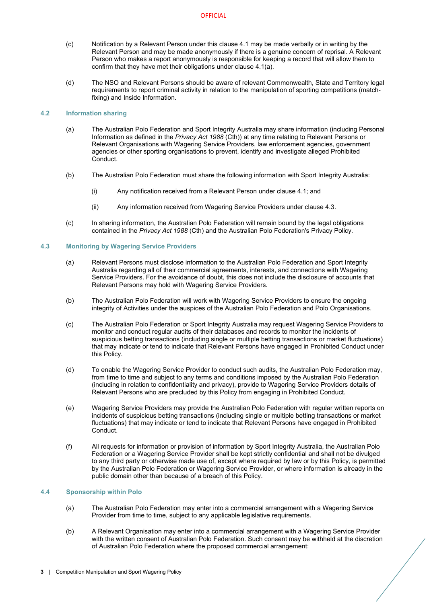- (c) Notification by a Relevant Person under this clause [4.1](#page-3-1) may be made verbally or in writing by the Relevant Person and may be made anonymously if there is a genuine concern of reprisal. A Relevant Person who makes a report anonymously is responsible for keeping a record that will allow them to confirm that they have met their obligations under clause [4.1](#page-3-1)[\(a\).](#page-3-2)
- (d) The NSO and Relevant Persons should be aware of relevant Commonwealth, State and Territory legal requirements to report criminal activity in relation to the manipulation of sporting competitions (matchfixing) and Inside Information.

## <span id="page-4-0"></span>**4.2 Information sharing**

- (a) The Australian Polo Federation and Sport Integrity Australia may share information (including Personal Information as defined in the *Privacy Act 1988* (Cth)) at any time relating to Relevant Persons or Relevant Organisations with Wagering Service Providers, law enforcement agencies, government agencies or other sporting organisations to prevent, identify and investigate alleged Prohibited Conduct.
- (b) The Australian Polo Federation must share the following information with Sport Integrity Australia:
	- (i) Any notification received from a Relevant Person under claus[e 4.1;](#page-3-1) and
	- (ii) Any information received from Wagering Service Providers under clause 4.3.
- (c) In sharing information, the Australian Polo Federation will remain bound by the legal obligations contained in the *Privacy Act 1988* (Cth) and the Australian Polo Federation's Privacy Policy.

#### <span id="page-4-1"></span>**4.3 Monitoring by Wagering Service Providers**

- (a) Relevant Persons must disclose information to the Australian Polo Federation and Sport Integrity Australia regarding all of their commercial agreements, interests, and connections with Wagering Service Providers. For the avoidance of doubt, this does not include the disclosure of accounts that Relevant Persons may hold with Wagering Service Providers.
- (b) The Australian Polo Federation will work with Wagering Service Providers to ensure the ongoing integrity of Activities under the auspices of the Australian Polo Federation and Polo Organisations.
- (c) The Australian Polo Federation or Sport Integrity Australia may request Wagering Service Providers to monitor and conduct regular audits of their databases and records to monitor the incidents of suspicious betting transactions (including single or multiple betting transactions or market fluctuations) that may indicate or tend to indicate that Relevant Persons have engaged in Prohibited Conduct under this Policy.
- (d) To enable the Wagering Service Provider to conduct such audits, the Australian Polo Federation may, from time to time and subject to any terms and conditions imposed by the Australian Polo Federation (including in relation to confidentiality and privacy), provide to Wagering Service Providers details of Relevant Persons who are precluded by this Policy from engaging in Prohibited Conduct.
- (e) Wagering Service Providers may provide the Australian Polo Federation with regular written reports on incidents of suspicious betting transactions (including single or multiple betting transactions or market fluctuations) that may indicate or tend to indicate that Relevant Persons have engaged in Prohibited Conduct.
- (f) All requests for information or provision of information by Sport Integrity Australia, the Australian Polo Federation or a Wagering Service Provider shall be kept strictly confidential and shall not be divulged to any third party or otherwise made use of, except where required by law or by this Policy, is permitted by the Australian Polo Federation or Wagering Service Provider, or where information is already in the public domain other than because of a breach of this Policy.

#### <span id="page-4-2"></span>**4.4 Sponsorship within Polo**

- (a) The Australian Polo Federation may enter into a commercial arrangement with a Wagering Service Provider from time to time, subject to any applicable legislative requirements.
- <span id="page-4-3"></span>(b) A Relevant Organisation may enter into a commercial arrangement with a Wagering Service Provider with the written consent of Australian Polo Federation. Such consent may be withheld at the discretion of Australian Polo Federation where the proposed commercial arrangement: